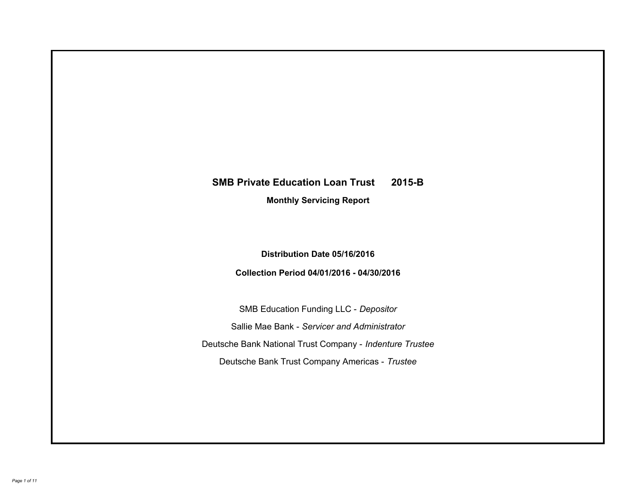# **SMB Private Education Loan Trust 2015-B Monthly Servicing Report**

## **Distribution Date 05/16/2016**

## **Collection Period 04/01/2016 - 04/30/2016**

SMB Education Funding LLC - *Depositor* Sallie Mae Bank - *Servicer and Administrator* Deutsche Bank National Trust Company - *Indenture Trustee* Deutsche Bank Trust Company Americas - *Trustee*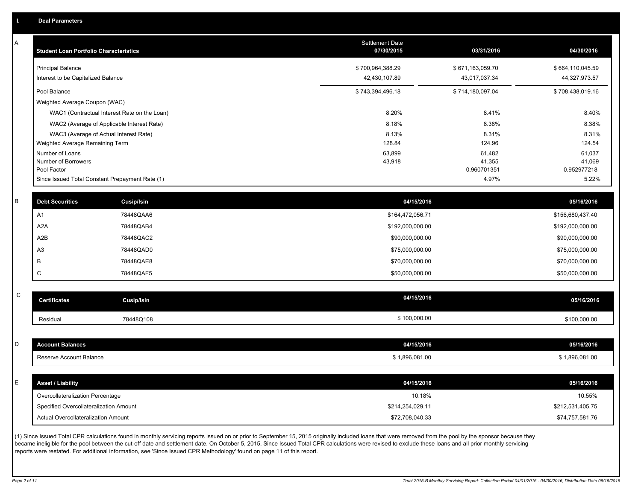A

| А | <b>Student Loan Portfolio Characteristics</b>         |                                                 | <b>Settlement Date</b><br>07/30/2015 | 03/31/2016                      | 04/30/2016                      |
|---|-------------------------------------------------------|-------------------------------------------------|--------------------------------------|---------------------------------|---------------------------------|
|   | <b>Principal Balance</b>                              |                                                 | \$700,964,388.29                     | \$671,163,059.70                | \$664,110,045.59                |
|   | Interest to be Capitalized Balance                    |                                                 | 42,430,107.89                        | 43,017,037.34                   | 44,327,973.57                   |
|   | Pool Balance                                          |                                                 | \$743,394,496.18                     | \$714,180,097.04                | \$708,438,019.16                |
|   | Weighted Average Coupon (WAC)                         |                                                 |                                      |                                 |                                 |
|   |                                                       | WAC1 (Contractual Interest Rate on the Loan)    | 8.20%                                | 8.41%                           | 8.40%                           |
|   |                                                       | WAC2 (Average of Applicable Interest Rate)      | 8.18%                                | 8.38%                           | 8.38%                           |
|   |                                                       | WAC3 (Average of Actual Interest Rate)          | 8.13%                                | 8.31%                           | 8.31%                           |
|   | Weighted Average Remaining Term                       |                                                 | 128.84                               | 124.96                          | 124.54                          |
|   | Number of Loans<br>Number of Borrowers<br>Pool Factor |                                                 | 63,899<br>43,918                     | 61,482<br>41,355<br>0.960701351 | 61,037<br>41,069<br>0.952977218 |
|   |                                                       | Since Issued Total Constant Prepayment Rate (1) |                                      | 4.97%                           | 5.22%                           |
|   |                                                       |                                                 |                                      |                                 |                                 |
|   | <b>Debt Securities</b>                                | Cusip/Isin                                      | 04/15/2016                           |                                 | 05/16/2016                      |
|   | A1                                                    | 78448QAA6                                       | \$164,472,056.71                     |                                 | \$156,680,437.40                |
|   | A <sub>2</sub> A                                      | 78448QAB4                                       | \$192,000,000.00                     |                                 | \$192,000,000.00                |
|   | A2B                                                   | 78448QAC2                                       | \$90,000,000.00                      |                                 | \$90,000,000.00                 |
|   | A <sub>3</sub>                                        | 78448QAD0                                       | \$75,000,000.00                      |                                 | \$75,000,000.00                 |
|   | B                                                     | 78448QAE8                                       | \$70,000,000.00                      |                                 | \$70,000,000.00                 |
|   | C                                                     | 78448QAF5                                       | \$50,000,000.00                      |                                 | \$50,000,000.00                 |
|   |                                                       |                                                 |                                      |                                 |                                 |
| C | <b>Certificates</b>                                   | Cusip/Isin                                      | 04/15/2016                           |                                 | 05/16/2016                      |
|   | Residual                                              | 78448Q108                                       | \$100,000.00                         |                                 | \$100,000.00                    |
|   |                                                       |                                                 |                                      |                                 |                                 |

|    | <b>Account Balances</b>                | 04/15/2016       | 05/16/2016       |
|----|----------------------------------------|------------------|------------------|
|    | Reserve Account Balance                | \$1,896,081.00   | \$1,896,081.00   |
|    |                                        |                  |                  |
| E. | <b>Asset / Liability</b>               | 04/15/2016       | 05/16/2016       |
|    | Overcollateralization Percentage       | 10.18%           | 10.55%           |
|    | Specified Overcollateralization Amount | \$214,254,029.11 | \$212,531,405.75 |
|    | Actual Overcollateralization Amount    | \$72,708,040.33  | \$74,757,581.76  |

(1) Since Issued Total CPR calculations found in monthly servicing reports issued on or prior to September 15, 2015 originally included loans that were removed from the pool by the sponsor because they became ineligible for the pool between the cut-off date and settlement date. On October 5, 2015, Since Issued Total CPR calculations were revised to exclude these loans and all prior monthly servicing reports were restated. For additional information, see 'Since Issued CPR Methodology' found on page 11 of this report.

C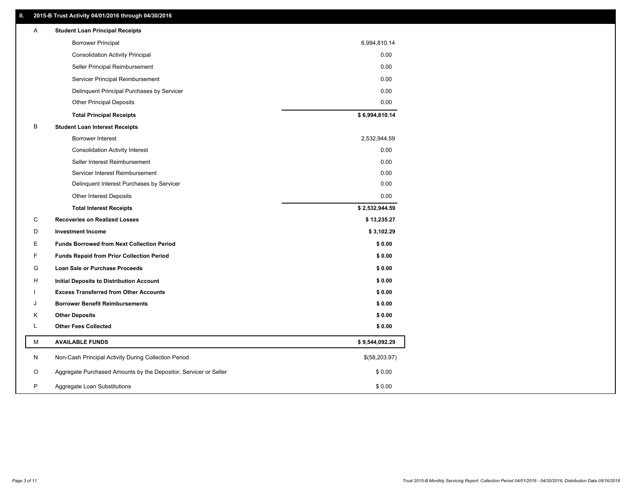### **II. 2015-B Trust Activity 04/01/2016 through 04/30/2016**

| <b>Borrower Principal</b><br>6,994,810.14<br><b>Consolidation Activity Principal</b><br>0.00<br>0.00<br>Seller Principal Reimbursement<br>Servicer Principal Reimbursement<br>0.00<br>0.00<br>Delinquent Principal Purchases by Servicer<br>0.00<br><b>Other Principal Deposits</b><br>\$6,994,810.14<br><b>Total Principal Receipts</b><br>В<br><b>Student Loan Interest Receipts</b><br>Borrower Interest<br>2,532,944.59<br>0.00<br><b>Consolidation Activity Interest</b><br>Seller Interest Reimbursement<br>0.00<br>0.00<br>Servicer Interest Reimbursement<br>Delinquent Interest Purchases by Servicer<br>0.00<br>0.00<br><b>Other Interest Deposits</b><br>\$2,532,944.59<br><b>Total Interest Receipts</b><br>С<br><b>Recoveries on Realized Losses</b><br>\$13,235.27<br>\$3,102.29<br>D<br><b>Investment Income</b><br>Е<br><b>Funds Borrowed from Next Collection Period</b><br>\$0.00<br>F<br>\$0.00<br><b>Funds Repaid from Prior Collection Period</b><br>G<br>\$0.00<br>Loan Sale or Purchase Proceeds<br>\$0.00<br>н<br>Initial Deposits to Distribution Account<br>\$0.00<br><b>Excess Transferred from Other Accounts</b><br>\$0.00<br><b>Borrower Benefit Reimbursements</b><br>J<br>κ<br><b>Other Deposits</b><br>\$0.00<br>Г<br><b>Other Fees Collected</b><br>\$0.00<br>М<br><b>AVAILABLE FUNDS</b><br>\$9,544,092.29<br>Non-Cash Principal Activity During Collection Period<br>\$(58,203.97)<br>N<br>O<br>Aggregate Purchased Amounts by the Depositor, Servicer or Seller<br>\$0.00<br>P<br>\$0.00<br>Aggregate Loan Substitutions | Α | <b>Student Loan Principal Receipts</b> |  |
|---------------------------------------------------------------------------------------------------------------------------------------------------------------------------------------------------------------------------------------------------------------------------------------------------------------------------------------------------------------------------------------------------------------------------------------------------------------------------------------------------------------------------------------------------------------------------------------------------------------------------------------------------------------------------------------------------------------------------------------------------------------------------------------------------------------------------------------------------------------------------------------------------------------------------------------------------------------------------------------------------------------------------------------------------------------------------------------------------------------------------------------------------------------------------------------------------------------------------------------------------------------------------------------------------------------------------------------------------------------------------------------------------------------------------------------------------------------------------------------------------------------------------------------------------------------|---|----------------------------------------|--|
|                                                                                                                                                                                                                                                                                                                                                                                                                                                                                                                                                                                                                                                                                                                                                                                                                                                                                                                                                                                                                                                                                                                                                                                                                                                                                                                                                                                                                                                                                                                                                               |   |                                        |  |
|                                                                                                                                                                                                                                                                                                                                                                                                                                                                                                                                                                                                                                                                                                                                                                                                                                                                                                                                                                                                                                                                                                                                                                                                                                                                                                                                                                                                                                                                                                                                                               |   |                                        |  |
|                                                                                                                                                                                                                                                                                                                                                                                                                                                                                                                                                                                                                                                                                                                                                                                                                                                                                                                                                                                                                                                                                                                                                                                                                                                                                                                                                                                                                                                                                                                                                               |   |                                        |  |
|                                                                                                                                                                                                                                                                                                                                                                                                                                                                                                                                                                                                                                                                                                                                                                                                                                                                                                                                                                                                                                                                                                                                                                                                                                                                                                                                                                                                                                                                                                                                                               |   |                                        |  |
|                                                                                                                                                                                                                                                                                                                                                                                                                                                                                                                                                                                                                                                                                                                                                                                                                                                                                                                                                                                                                                                                                                                                                                                                                                                                                                                                                                                                                                                                                                                                                               |   |                                        |  |
|                                                                                                                                                                                                                                                                                                                                                                                                                                                                                                                                                                                                                                                                                                                                                                                                                                                                                                                                                                                                                                                                                                                                                                                                                                                                                                                                                                                                                                                                                                                                                               |   |                                        |  |
|                                                                                                                                                                                                                                                                                                                                                                                                                                                                                                                                                                                                                                                                                                                                                                                                                                                                                                                                                                                                                                                                                                                                                                                                                                                                                                                                                                                                                                                                                                                                                               |   |                                        |  |
|                                                                                                                                                                                                                                                                                                                                                                                                                                                                                                                                                                                                                                                                                                                                                                                                                                                                                                                                                                                                                                                                                                                                                                                                                                                                                                                                                                                                                                                                                                                                                               |   |                                        |  |
|                                                                                                                                                                                                                                                                                                                                                                                                                                                                                                                                                                                                                                                                                                                                                                                                                                                                                                                                                                                                                                                                                                                                                                                                                                                                                                                                                                                                                                                                                                                                                               |   |                                        |  |
|                                                                                                                                                                                                                                                                                                                                                                                                                                                                                                                                                                                                                                                                                                                                                                                                                                                                                                                                                                                                                                                                                                                                                                                                                                                                                                                                                                                                                                                                                                                                                               |   |                                        |  |
|                                                                                                                                                                                                                                                                                                                                                                                                                                                                                                                                                                                                                                                                                                                                                                                                                                                                                                                                                                                                                                                                                                                                                                                                                                                                                                                                                                                                                                                                                                                                                               |   |                                        |  |
|                                                                                                                                                                                                                                                                                                                                                                                                                                                                                                                                                                                                                                                                                                                                                                                                                                                                                                                                                                                                                                                                                                                                                                                                                                                                                                                                                                                                                                                                                                                                                               |   |                                        |  |
|                                                                                                                                                                                                                                                                                                                                                                                                                                                                                                                                                                                                                                                                                                                                                                                                                                                                                                                                                                                                                                                                                                                                                                                                                                                                                                                                                                                                                                                                                                                                                               |   |                                        |  |
|                                                                                                                                                                                                                                                                                                                                                                                                                                                                                                                                                                                                                                                                                                                                                                                                                                                                                                                                                                                                                                                                                                                                                                                                                                                                                                                                                                                                                                                                                                                                                               |   |                                        |  |
|                                                                                                                                                                                                                                                                                                                                                                                                                                                                                                                                                                                                                                                                                                                                                                                                                                                                                                                                                                                                                                                                                                                                                                                                                                                                                                                                                                                                                                                                                                                                                               |   |                                        |  |
|                                                                                                                                                                                                                                                                                                                                                                                                                                                                                                                                                                                                                                                                                                                                                                                                                                                                                                                                                                                                                                                                                                                                                                                                                                                                                                                                                                                                                                                                                                                                                               |   |                                        |  |
|                                                                                                                                                                                                                                                                                                                                                                                                                                                                                                                                                                                                                                                                                                                                                                                                                                                                                                                                                                                                                                                                                                                                                                                                                                                                                                                                                                                                                                                                                                                                                               |   |                                        |  |
|                                                                                                                                                                                                                                                                                                                                                                                                                                                                                                                                                                                                                                                                                                                                                                                                                                                                                                                                                                                                                                                                                                                                                                                                                                                                                                                                                                                                                                                                                                                                                               |   |                                        |  |
|                                                                                                                                                                                                                                                                                                                                                                                                                                                                                                                                                                                                                                                                                                                                                                                                                                                                                                                                                                                                                                                                                                                                                                                                                                                                                                                                                                                                                                                                                                                                                               |   |                                        |  |
|                                                                                                                                                                                                                                                                                                                                                                                                                                                                                                                                                                                                                                                                                                                                                                                                                                                                                                                                                                                                                                                                                                                                                                                                                                                                                                                                                                                                                                                                                                                                                               |   |                                        |  |
|                                                                                                                                                                                                                                                                                                                                                                                                                                                                                                                                                                                                                                                                                                                                                                                                                                                                                                                                                                                                                                                                                                                                                                                                                                                                                                                                                                                                                                                                                                                                                               |   |                                        |  |
|                                                                                                                                                                                                                                                                                                                                                                                                                                                                                                                                                                                                                                                                                                                                                                                                                                                                                                                                                                                                                                                                                                                                                                                                                                                                                                                                                                                                                                                                                                                                                               |   |                                        |  |
|                                                                                                                                                                                                                                                                                                                                                                                                                                                                                                                                                                                                                                                                                                                                                                                                                                                                                                                                                                                                                                                                                                                                                                                                                                                                                                                                                                                                                                                                                                                                                               |   |                                        |  |
|                                                                                                                                                                                                                                                                                                                                                                                                                                                                                                                                                                                                                                                                                                                                                                                                                                                                                                                                                                                                                                                                                                                                                                                                                                                                                                                                                                                                                                                                                                                                                               |   |                                        |  |
|                                                                                                                                                                                                                                                                                                                                                                                                                                                                                                                                                                                                                                                                                                                                                                                                                                                                                                                                                                                                                                                                                                                                                                                                                                                                                                                                                                                                                                                                                                                                                               |   |                                        |  |
|                                                                                                                                                                                                                                                                                                                                                                                                                                                                                                                                                                                                                                                                                                                                                                                                                                                                                                                                                                                                                                                                                                                                                                                                                                                                                                                                                                                                                                                                                                                                                               |   |                                        |  |
|                                                                                                                                                                                                                                                                                                                                                                                                                                                                                                                                                                                                                                                                                                                                                                                                                                                                                                                                                                                                                                                                                                                                                                                                                                                                                                                                                                                                                                                                                                                                                               |   |                                        |  |
|                                                                                                                                                                                                                                                                                                                                                                                                                                                                                                                                                                                                                                                                                                                                                                                                                                                                                                                                                                                                                                                                                                                                                                                                                                                                                                                                                                                                                                                                                                                                                               |   |                                        |  |
|                                                                                                                                                                                                                                                                                                                                                                                                                                                                                                                                                                                                                                                                                                                                                                                                                                                                                                                                                                                                                                                                                                                                                                                                                                                                                                                                                                                                                                                                                                                                                               |   |                                        |  |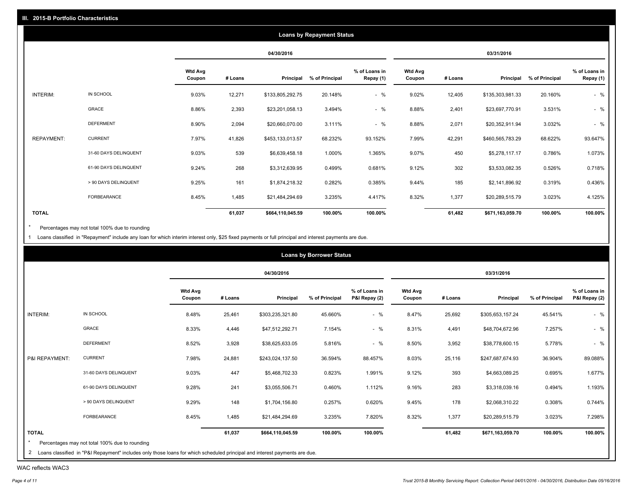|                   |                       |                          |         |                  | <b>Loans by Repayment Status</b> |                            |                          |         |                  |                |                            |
|-------------------|-----------------------|--------------------------|---------|------------------|----------------------------------|----------------------------|--------------------------|---------|------------------|----------------|----------------------------|
|                   |                       |                          |         | 04/30/2016       |                                  |                            |                          |         | 03/31/2016       |                |                            |
|                   |                       | <b>Wtd Avg</b><br>Coupon | # Loans | Principal        | % of Principal                   | % of Loans in<br>Repay (1) | <b>Wtd Avg</b><br>Coupon | # Loans | Principal        | % of Principal | % of Loans in<br>Repay (1) |
| INTERIM:          | IN SCHOOL             | 9.03%                    | 12,271  | \$133,805,292.75 | 20.148%                          | $-$ %                      | 9.02%                    | 12,405  | \$135,303,981.33 | 20.160%        | $-$ %                      |
|                   | <b>GRACE</b>          | 8.86%                    | 2,393   | \$23,201,058.13  | 3.494%                           | $-$ %                      | 8.88%                    | 2,401   | \$23,697,770.91  | 3.531%         | $-$ %                      |
|                   | <b>DEFERMENT</b>      | 8.90%                    | 2,094   | \$20,660,070.00  | 3.111%                           | $-$ %                      | 8.88%                    | 2,071   | \$20,352,911.94  | 3.032%         | $-$ %                      |
| <b>REPAYMENT:</b> | <b>CURRENT</b>        | 7.97%                    | 41,826  | \$453,133,013.57 | 68.232%                          | 93.152%                    | 7.99%                    | 42,291  | \$460,565,783.29 | 68.622%        | 93.647%                    |
|                   | 31-60 DAYS DELINQUENT | 9.03%                    | 539     | \$6,639,458.18   | 1.000%                           | 1.365%                     | 9.07%                    | 450     | \$5,278,117.17   | 0.786%         | 1.073%                     |
|                   | 61-90 DAYS DELINQUENT | 9.24%                    | 268     | \$3,312,639.95   | 0.499%                           | 0.681%                     | 9.12%                    | 302     | \$3,533,082.35   | 0.526%         | 0.718%                     |
|                   | > 90 DAYS DELINQUENT  | 9.25%                    | 161     | \$1,874,218.32   | 0.282%                           | 0.385%                     | 9.44%                    | 185     | \$2,141,896.92   | 0.319%         | 0.436%                     |
|                   | FORBEARANCE           | 8.45%                    | 1,485   | \$21,484,294.69  | 3.235%                           | 4.417%                     | 8.32%                    | 1,377   | \$20,289,515.79  | 3.023%         | 4.125%                     |
| <b>TOTAL</b>      |                       |                          | 61,037  | \$664,110,045.59 | 100.00%                          | 100.00%                    |                          | 61,482  | \$671,163,059.70 | 100.00%        | 100.00%                    |

Percentages may not total 100% due to rounding  $^\star$ 

1 Loans classified in "Repayment" include any loan for which interim interest only, \$25 fixed payments or full principal and interest payments are due.

|                |                                                                                                                              |                          |         |                  | <b>Loans by Borrower Status</b> |                                |                          |         |                  |                |                                |
|----------------|------------------------------------------------------------------------------------------------------------------------------|--------------------------|---------|------------------|---------------------------------|--------------------------------|--------------------------|---------|------------------|----------------|--------------------------------|
|                |                                                                                                                              |                          |         | 04/30/2016       |                                 |                                |                          |         | 03/31/2016       |                |                                |
|                |                                                                                                                              | <b>Wtd Avg</b><br>Coupon | # Loans | Principal        | % of Principal                  | % of Loans in<br>P&I Repay (2) | <b>Wtd Avg</b><br>Coupon | # Loans | Principal        | % of Principal | % of Loans in<br>P&I Repay (2) |
| INTERIM:       | IN SCHOOL                                                                                                                    | 8.48%                    | 25,461  | \$303,235,321.80 | 45.660%                         | $-$ %                          | 8.47%                    | 25,692  | \$305,653,157.24 | 45.541%        | $-$ %                          |
|                | GRACE                                                                                                                        | 8.33%                    | 4,446   | \$47,512,292.71  | 7.154%                          | $-$ %                          | 8.31%                    | 4,491   | \$48,704,672.96  | 7.257%         | $-$ %                          |
|                | <b>DEFERMENT</b>                                                                                                             | 8.52%                    | 3,928   | \$38,625,633.05  | 5.816%                          | $-$ %                          | 8.50%                    | 3,952   | \$38,778,600.15  | 5.778%         | $-$ %                          |
| P&I REPAYMENT: | <b>CURRENT</b>                                                                                                               | 7.98%                    | 24,881  | \$243,024,137.50 | 36.594%                         | 88.457%                        | 8.03%                    | 25,116  | \$247,687,674.93 | 36.904%        | 89.088%                        |
|                | 31-60 DAYS DELINQUENT                                                                                                        | 9.03%                    | 447     | \$5,468,702.33   | 0.823%                          | 1.991%                         | 9.12%                    | 393     | \$4,663,089.25   | 0.695%         | 1.677%                         |
|                | 61-90 DAYS DELINQUENT                                                                                                        | 9.28%                    | 241     | \$3,055,506.71   | 0.460%                          | 1.112%                         | 9.16%                    | 283     | \$3,318,039.16   | 0.494%         | 1.193%                         |
|                | > 90 DAYS DELINQUENT                                                                                                         | 9.29%                    | 148     | \$1,704,156.80   | 0.257%                          | 0.620%                         | 9.45%                    | 178     | \$2,068,310.22   | 0.308%         | 0.744%                         |
|                | FORBEARANCE                                                                                                                  | 8.45%                    | 1,485   | \$21,484,294.69  | 3.235%                          | 7.820%                         | 8.32%                    | 1,377   | \$20,289,515.79  | 3.023%         | 7.298%                         |
| <b>TOTAL</b>   |                                                                                                                              |                          | 61,037  | \$664,110,045.59 | 100.00%                         | 100.00%                        |                          | 61,482  | \$671,163,059.70 | 100.00%        | 100.00%                        |
|                | Percentages may not total 100% due to rounding                                                                               |                          |         |                  |                                 |                                |                          |         |                  |                |                                |
|                | 2 Loans classified in "P&I Repayment" includes only those loans for which scheduled principal and interest payments are due. |                          |         |                  |                                 |                                |                          |         |                  |                |                                |

WAC reflects WAC3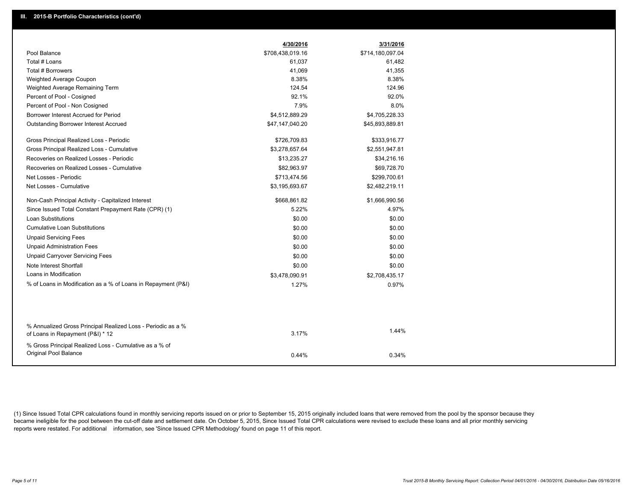|                                                                                 | 4/30/2016        | 3/31/2016        |
|---------------------------------------------------------------------------------|------------------|------------------|
| Pool Balance                                                                    | \$708,438,019.16 | \$714,180,097.04 |
| Total # Loans                                                                   | 61,037           | 61,482           |
| Total # Borrowers                                                               | 41,069           | 41,355           |
| Weighted Average Coupon                                                         | 8.38%            | 8.38%            |
| Weighted Average Remaining Term                                                 | 124.54           | 124.96           |
| Percent of Pool - Cosigned                                                      | 92.1%            | 92.0%            |
| Percent of Pool - Non Cosigned                                                  | 7.9%             | 8.0%             |
| Borrower Interest Accrued for Period                                            | \$4,512,889.29   | \$4,705,228.33   |
| <b>Outstanding Borrower Interest Accrued</b>                                    | \$47,147,040.20  | \$45,893,889.81  |
| Gross Principal Realized Loss - Periodic                                        | \$726,709.83     | \$333,916.77     |
| Gross Principal Realized Loss - Cumulative                                      | \$3,278,657.64   | \$2,551,947.81   |
| Recoveries on Realized Losses - Periodic                                        | \$13,235.27      | \$34,216.16      |
| Recoveries on Realized Losses - Cumulative                                      | \$82,963.97      | \$69,728.70      |
| Net Losses - Periodic                                                           | \$713,474.56     | \$299,700.61     |
| Net Losses - Cumulative                                                         | \$3,195,693.67   | \$2,482,219.11   |
| Non-Cash Principal Activity - Capitalized Interest                              | \$668,861.82     | \$1,666,990.56   |
| Since Issued Total Constant Prepayment Rate (CPR) (1)                           | 5.22%            | 4.97%            |
| <b>Loan Substitutions</b>                                                       | \$0.00           | \$0.00           |
| <b>Cumulative Loan Substitutions</b>                                            | \$0.00           | \$0.00           |
| <b>Unpaid Servicing Fees</b>                                                    | \$0.00           | \$0.00           |
| <b>Unpaid Administration Fees</b>                                               | \$0.00           | \$0.00           |
| <b>Unpaid Carryover Servicing Fees</b>                                          | \$0.00           | \$0.00           |
| Note Interest Shortfall                                                         | \$0.00           | \$0.00           |
| Loans in Modification                                                           | \$3,478,090.91   | \$2,708,435.17   |
| % of Loans in Modification as a % of Loans in Repayment (P&I)                   | 1.27%            | 0.97%            |
|                                                                                 |                  |                  |
| % Annualized Gross Principal Realized Loss - Periodic as a %                    |                  |                  |
| of Loans in Repayment (P&I) * 12                                                | 3.17%            | 1.44%            |
| % Gross Principal Realized Loss - Cumulative as a % of<br>Original Pool Balance | 0.44%            | 0.34%            |
|                                                                                 |                  |                  |

(1) Since Issued Total CPR calculations found in monthly servicing reports issued on or prior to September 15, 2015 originally included loans that were removed from the pool by the sponsor because they became ineligible for the pool between the cut-off date and settlement date. On October 5, 2015, Since Issued Total CPR calculations were revised to exclude these loans and all prior monthly servicing reports were restated. For additional information, see 'Since Issued CPR Methodology' found on page 11 of this report.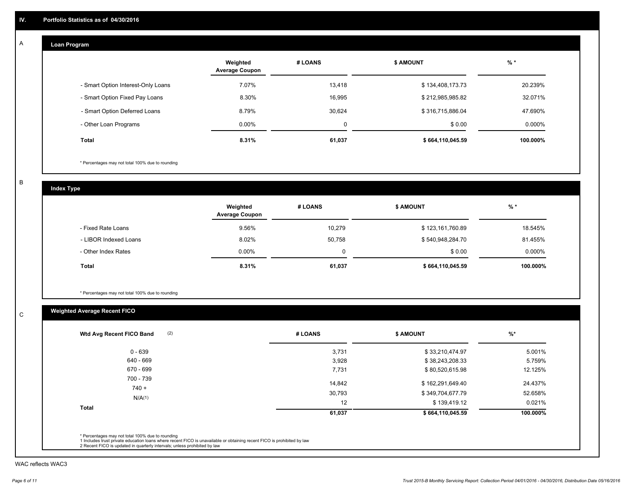#### **Loan Program**  A

|                                    | Weighted<br><b>Average Coupon</b> | # LOANS | <b>S AMOUNT</b>  | $%$ *    |
|------------------------------------|-----------------------------------|---------|------------------|----------|
| - Smart Option Interest-Only Loans | 7.07%                             | 13.418  | \$134,408,173.73 | 20.239%  |
| - Smart Option Fixed Pay Loans     | 8.30%                             | 16,995  | \$212,985,985.82 | 32.071%  |
| - Smart Option Deferred Loans      | 8.79%                             | 30.624  | \$316,715,886.04 | 47.690%  |
| - Other Loan Programs              | $0.00\%$                          | 0       | \$0.00           | 0.000%   |
| <b>Total</b>                       | 8.31%                             | 61,037  | \$664,110,045.59 | 100.000% |

\* Percentages may not total 100% due to rounding

B

C

**Index Type**

|                       | Weighted<br><b>Average Coupon</b> | # LOANS | <b>S AMOUNT</b>  | $%$ *     |
|-----------------------|-----------------------------------|---------|------------------|-----------|
| - Fixed Rate Loans    | 9.56%                             | 10.279  | \$123,161,760.89 | 18.545%   |
| - LIBOR Indexed Loans | 8.02%                             | 50,758  | \$540,948,284.70 | 81.455%   |
| - Other Index Rates   | $0.00\%$                          |         | \$0.00           | $0.000\%$ |
| <b>Total</b>          | 8.31%                             | 61,037  | \$664,110,045.59 | 100.000%  |

\* Percentages may not total 100% due to rounding

## **Weighted Average Recent FICO**

| # LOANS | <b>\$ AMOUNT</b> | $%$ *    |
|---------|------------------|----------|
| 3,731   | \$33,210,474.97  | 5.001%   |
| 3,928   | \$38,243,208.33  | 5.759%   |
| 7,731   | \$80,520,615.98  | 12.125%  |
| 14,842  | \$162,291,649.40 | 24.437%  |
| 30,793  | \$349,704,677.79 | 52.658%  |
| 12      | \$139,419.12     | 0.021%   |
| 61,037  | \$664,110,045.59 | 100.000% |
|         |                  |          |

WAC reflects WAC3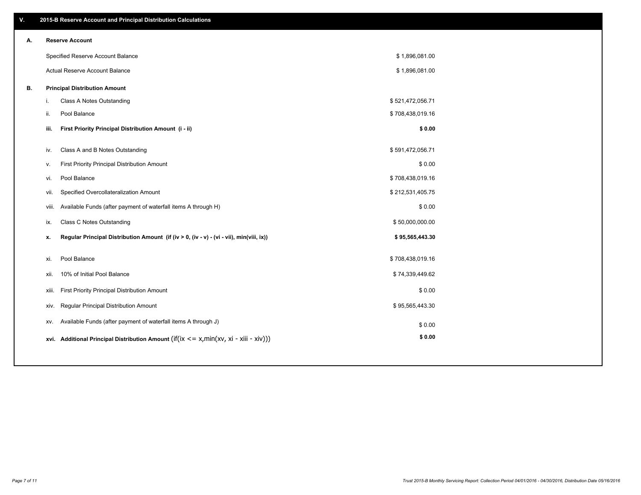| ۷. |     | 2015-B Reserve Account and Principal Distribution Calculations                                 |                  |  |
|----|-----|------------------------------------------------------------------------------------------------|------------------|--|
| А. |     | <b>Reserve Account</b>                                                                         |                  |  |
|    |     | Specified Reserve Account Balance                                                              | \$1,896,081.00   |  |
|    |     | Actual Reserve Account Balance                                                                 | \$1,896,081.00   |  |
| В. |     | <b>Principal Distribution Amount</b>                                                           |                  |  |
|    | i.  | Class A Notes Outstanding                                                                      | \$521,472,056.71 |  |
|    | ii. | Pool Balance                                                                                   | \$708,438,019.16 |  |
|    |     | First Priority Principal Distribution Amount (i - ii)<br>iii.                                  | \$0.00           |  |
|    |     |                                                                                                |                  |  |
|    |     | Class A and B Notes Outstanding<br>iv.                                                         | \$591,472,056.71 |  |
|    |     | First Priority Principal Distribution Amount<br>v.                                             | \$0.00           |  |
|    |     | Pool Balance<br>vi.                                                                            | \$708,438,019.16 |  |
|    |     | Specified Overcollateralization Amount<br>vii.                                                 | \$212,531,405.75 |  |
|    |     | Available Funds (after payment of waterfall items A through H)<br>viii.                        | \$0.00           |  |
|    |     | Class C Notes Outstanding<br>ix.                                                               | \$50,000,000.00  |  |
|    |     | Regular Principal Distribution Amount (if (iv > 0, (iv - v) - (vi - vii), min(viii, ix))<br>x. | \$95,565,443.30  |  |
|    |     | Pool Balance<br>xi.                                                                            | \$708,438,019.16 |  |
|    |     | 10% of Initial Pool Balance<br>xii.                                                            | \$74,339,449.62  |  |
|    |     |                                                                                                |                  |  |
|    |     | First Priority Principal Distribution Amount<br>xiii.                                          | \$0.00           |  |
|    |     | <b>Regular Principal Distribution Amount</b><br>xiv.                                           | \$95,565,443.30  |  |
|    |     | Available Funds (after payment of waterfall items A through J)<br>XV.                          | \$0.00           |  |
|    |     | xvi. Additional Principal Distribution Amount (if(ix $\lt$ = x, min(xv, xi - xiii - xiv)))     | \$0.00           |  |
|    |     |                                                                                                |                  |  |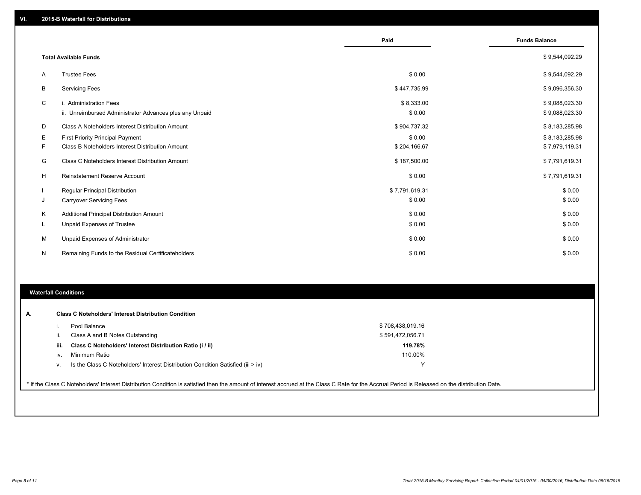|              |                                                         | Paid           | <b>Funds Balance</b> |
|--------------|---------------------------------------------------------|----------------|----------------------|
|              | <b>Total Available Funds</b>                            |                | \$9,544,092.29       |
| A            | <b>Trustee Fees</b>                                     | \$0.00         | \$9,544,092.29       |
| В            | <b>Servicing Fees</b>                                   | \$447,735.99   | \$9,096,356.30       |
| C            | i. Administration Fees                                  | \$8,333.00     | \$9,088,023.30       |
|              | ii. Unreimbursed Administrator Advances plus any Unpaid | \$0.00         | \$9,088,023.30       |
| D            | Class A Noteholders Interest Distribution Amount        | \$904,737.32   | \$8,183,285.98       |
| Ε            | First Priority Principal Payment                        | \$0.00         | \$8,183,285.98       |
| F            | Class B Noteholders Interest Distribution Amount        | \$204,166.67   | \$7,979,119.31       |
| G            | Class C Noteholders Interest Distribution Amount        | \$187,500.00   | \$7,791,619.31       |
| H            | <b>Reinstatement Reserve Account</b>                    | \$0.00         | \$7,791,619.31       |
|              | <b>Regular Principal Distribution</b>                   | \$7,791,619.31 | \$0.00               |
| J            | <b>Carryover Servicing Fees</b>                         | \$0.00         | \$0.00               |
| Κ            | Additional Principal Distribution Amount                | \$0.00         | \$0.00               |
| L.           | Unpaid Expenses of Trustee                              | \$0.00         | \$0.00               |
| M            | Unpaid Expenses of Administrator                        | \$0.00         | \$0.00               |
| $\mathsf{N}$ | Remaining Funds to the Residual Certificateholders      | \$0.00         | \$0.00               |

#### **Waterfall Conditions**

|      | Pool Balance                                                                       | \$708,438,019.16 |  |
|------|------------------------------------------------------------------------------------|------------------|--|
| ii.  | Class A and B Notes Outstanding                                                    | \$591,472,056.71 |  |
| iii. | Class C Noteholders' Interest Distribution Ratio (i / ii)                          | 119.78%          |  |
| iv.  | Minimum Ratio                                                                      | 110.00%          |  |
| ν.   | Is the Class C Noteholders' Interest Distribution Condition Satisfied (iii $>$ iv) |                  |  |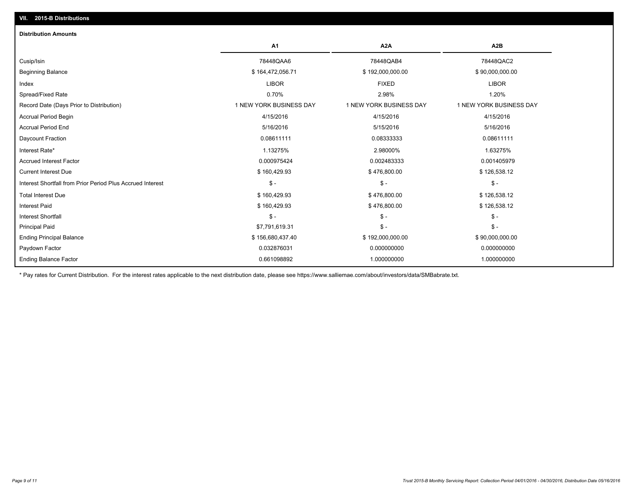| <b>Distribution Amounts</b>                                |                         |                         |                         |
|------------------------------------------------------------|-------------------------|-------------------------|-------------------------|
|                                                            | A1                      | A2A                     | A <sub>2</sub> B        |
| Cusip/Isin                                                 | 78448QAA6               | 78448QAB4               | 78448QAC2               |
| <b>Beginning Balance</b>                                   | \$164,472,056.71        | \$192,000,000.00        | \$90,000,000.00         |
| Index                                                      | <b>LIBOR</b>            | <b>FIXED</b>            | <b>LIBOR</b>            |
| Spread/Fixed Rate                                          | 0.70%                   | 2.98%                   | 1.20%                   |
| Record Date (Days Prior to Distribution)                   | 1 NEW YORK BUSINESS DAY | 1 NEW YORK BUSINESS DAY | 1 NEW YORK BUSINESS DAY |
| <b>Accrual Period Begin</b>                                | 4/15/2016               | 4/15/2016               | 4/15/2016               |
| <b>Accrual Period End</b>                                  | 5/16/2016               | 5/15/2016               | 5/16/2016               |
| Daycount Fraction                                          | 0.08611111              | 0.08333333              | 0.08611111              |
| Interest Rate*                                             | 1.13275%                | 2.98000%                | 1.63275%                |
| <b>Accrued Interest Factor</b>                             | 0.000975424             | 0.002483333             | 0.001405979             |
| <b>Current Interest Due</b>                                | \$160,429.93            | \$476,800.00            | \$126,538.12            |
| Interest Shortfall from Prior Period Plus Accrued Interest | $\mathsf{\$}$ -         | $\mathcal{S}$ -         | $\mathcal{S}$ -         |
| <b>Total Interest Due</b>                                  | \$160,429.93            | \$476,800.00            | \$126,538.12            |
| <b>Interest Paid</b>                                       | \$160,429.93            | \$476,800.00            | \$126,538.12            |
| <b>Interest Shortfall</b>                                  | $S -$                   | $\mathsf{\$}$ -         | $\mathsf{\$}$ -         |
| <b>Principal Paid</b>                                      | \$7,791,619.31          | $\mathsf{\$}$ -         | $\mathsf{\$}$ -         |
| <b>Ending Principal Balance</b>                            | \$156,680,437.40        | \$192,000,000.00        | \$90,000,000.00         |
| Paydown Factor                                             | 0.032876031             | 0.000000000             | 0.000000000             |
| <b>Ending Balance Factor</b>                               | 0.661098892             | 1.000000000             | 1.000000000             |

\* Pay rates for Current Distribution. For the interest rates applicable to the next distribution date, please see https://www.salliemae.com/about/investors/data/SMBabrate.txt.

**VII. 2015-B Distributions**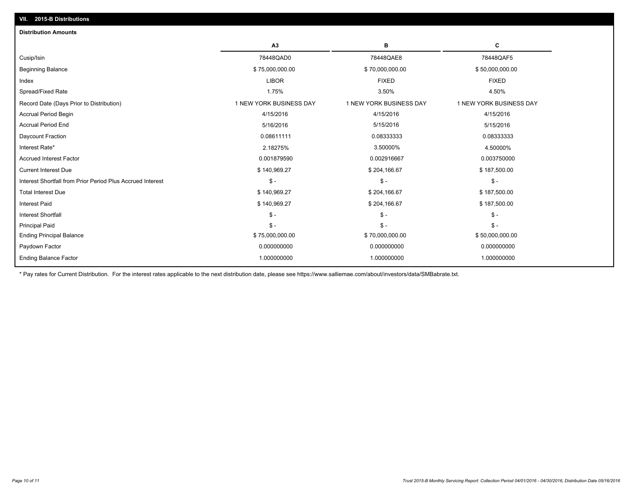| <b>Distribution Amounts</b>                                |                         |                         |                         |
|------------------------------------------------------------|-------------------------|-------------------------|-------------------------|
|                                                            | A <sub>3</sub>          | в                       | c                       |
| Cusip/Isin                                                 | 78448QAD0               | 78448QAE8               | 78448QAF5               |
| <b>Beginning Balance</b>                                   | \$75,000,000.00         | \$70,000,000.00         | \$50,000,000.00         |
| Index                                                      | <b>LIBOR</b>            | <b>FIXED</b>            | <b>FIXED</b>            |
| Spread/Fixed Rate                                          | 1.75%                   | 3.50%                   | 4.50%                   |
| Record Date (Days Prior to Distribution)                   | 1 NEW YORK BUSINESS DAY | 1 NEW YORK BUSINESS DAY | 1 NEW YORK BUSINESS DAY |
| <b>Accrual Period Begin</b>                                | 4/15/2016               | 4/15/2016               | 4/15/2016               |
| <b>Accrual Period End</b>                                  | 5/16/2016               | 5/15/2016               | 5/15/2016               |
| Daycount Fraction                                          | 0.08611111              | 0.08333333              | 0.08333333              |
| Interest Rate*                                             | 2.18275%                | 3.50000%                | 4.50000%                |
| <b>Accrued Interest Factor</b>                             | 0.001879590             | 0.002916667             | 0.003750000             |
| <b>Current Interest Due</b>                                | \$140,969.27            | \$204,166.67            | \$187,500.00            |
| Interest Shortfall from Prior Period Plus Accrued Interest | $\mathsf S$ -           | $$ -$                   | $$ -$                   |
| <b>Total Interest Due</b>                                  | \$140,969.27            | \$204,166.67            | \$187,500.00            |
| <b>Interest Paid</b>                                       | \$140,969.27            | \$204,166.67            | \$187,500.00            |
| <b>Interest Shortfall</b>                                  | $S -$                   | $\mathsf{\$}$ -         | $\mathcal{S}$ -         |
| <b>Principal Paid</b>                                      | $S -$                   | $S -$                   | $$ -$                   |
| <b>Ending Principal Balance</b>                            | \$75,000,000.00         | \$70,000,000.00         | \$50,000,000.00         |
| Paydown Factor                                             | 0.000000000             | 0.000000000             | 0.000000000             |
| <b>Ending Balance Factor</b>                               | 1.000000000             | 1.000000000             | 1.000000000             |

\* Pay rates for Current Distribution. For the interest rates applicable to the next distribution date, please see https://www.salliemae.com/about/investors/data/SMBabrate.txt.

**VII. 2015-B Distributions**